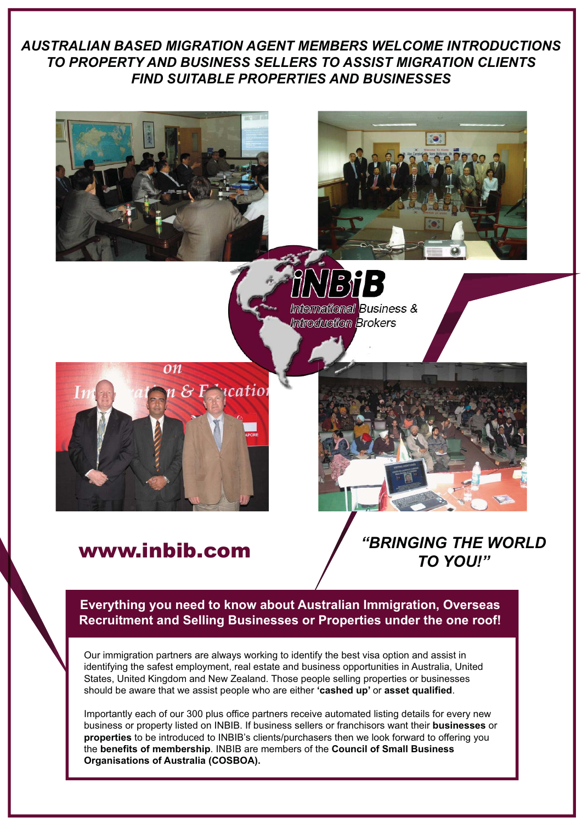# *AUSTRALIAN BASED MIGRATION AGENT MEMBERS WELCOME INTRODUCTIONS TO PROPERTY AND BUSINESS SELLERS TO ASSIST MIGRATION CLIENTS FIND SUITABLE PROPERTIES AND BUSINESSES*





Bi  $\ddot{\phantom{a}}$ ermational Business & ntroduration Brokers



*"BRINGING THE WORLD* www.inbib.com *TO YOU!"*

**Everything you need to know about Australian Immigration, Overseas Recruitment and Selling Businesses or Properties under the one roof!**

Our immigration partners are always working to identify the best visa option and assist in identifying the safest employment, real estate and business opportunities in Australia, United should be aware that we assist people who are either **'cashed up'** or **asset qualified**. States, United Kingdom and New Zealand. Those people selling properties or businesses

business or property listed on INBIB. If business sellers or franchisors want their **businesses** or **properties** to be introduced to INBIB's clients/purchasers then we look forward to offering you the **benefits of membership**. INBIB are members of the **Council of Small Business Organisations of Australia (COSBOA).** Importantly each of our 300 plus office partners receive automated listing details for every new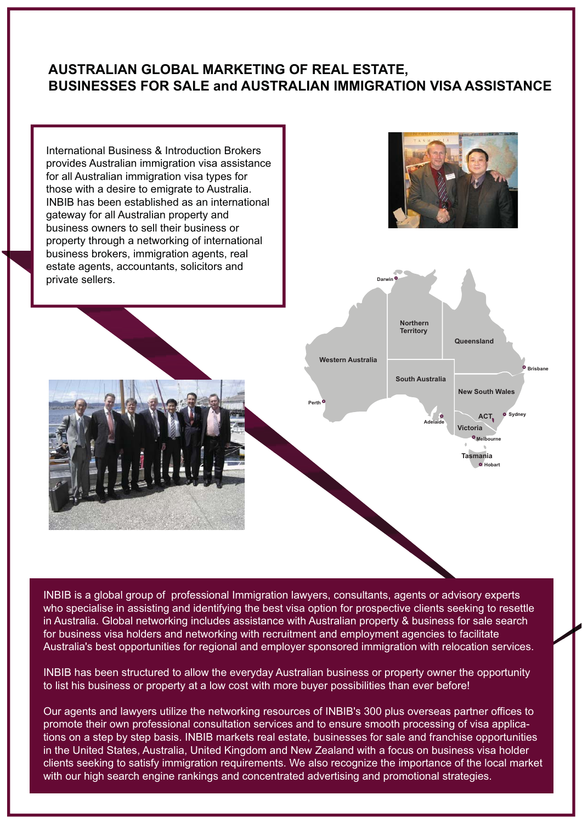## **AUSTRALIAN GLOBAL MARKETING OF REAL ESTATE, BUSINESSES FOR SALE and AUSTRALIAN IMMIGRATION VISA ASSISTANCE**



INBIB is a global group of professional Immigration lawyers, consultants, agents or advisory experts who specialise in assisting and identifying the best visa option for prospective clients seeking to resettle in Australia. Global networking includes assistance with Australian property & business for sale search for business visa holders and networking with recruitment and employment agencies to facilitate Australia's best opportunities for regional and employer sponsored immigration with relocation services.

INBIB has been structured to allow the everyday Australian business or property owner the opportunity to list his business or property at a low cost with more buyer possibilities than ever before!

promote their own professional consultation services and to ensure smooth processing of visa applications on a step by step basis. INBIB markets real estate, businesses for sale and franchise opportunities Our agents and lawyers utilize the networking resources of INBIB's 300 plus overseas partner offices to in the United States, Australia, United Kingdom and New Zealand with a focus on business visa holder clients seeking to satisfy immigration requirements. We also recognize the importance of the local market with our high search engine rankings and concentrated advertising and promotional strategies.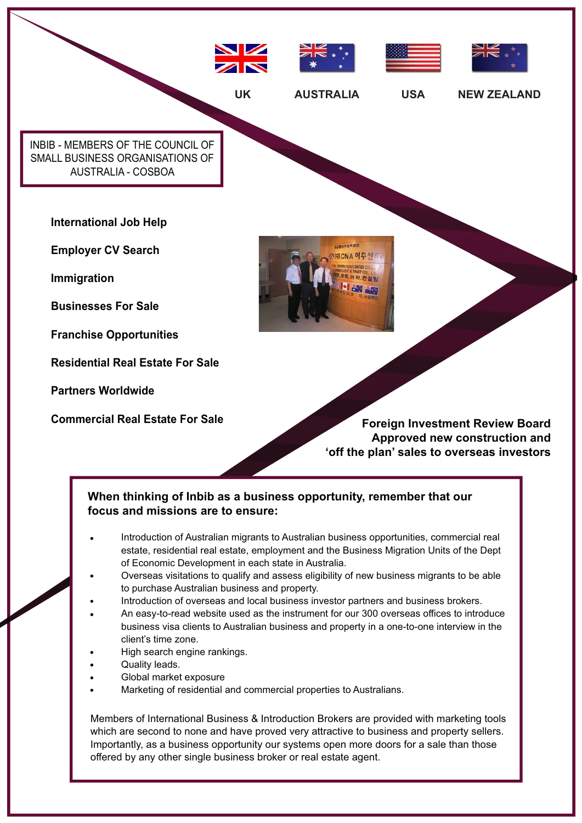

**Commercial Real Estate For Sale Foreign Investment Review Board Approved new construction and 'off the plan' sales to overseas investors**

### **When thinking of Inbib as a business opportunity, remember that our focus and missions are to ensure:**

- Introduction of Australian migrants to Australian business opportunities, commercial real estate, residential real estate, employment and the Business Migration Units of the Dept of Economic Development in each state in Australia.
- Overseas visitations to qualify and assess eligibility of new business migrants to be able to purchase Australian business and property.
- Introduction of overseas and local business investor partners and business brokers.
- business visa clients to Australian business and property in a one-to-one interview in the client's time zone. An easy-to-read website used as the instrument for our 300 overseas offices to introduce
- High search engine rankings.
- Quality leads.

**Partners Worldwide**

- Global market exposure
- Marketing of residential and commercial properties to Australians.

Members of International Business & Introduction Brokers are provided with marketing tools which are second to none and have proved very attractive to business and property sellers. Importantly, as a business opportunity our systems open more doors for a sale than those offered by any other single business broker or real estate agent.